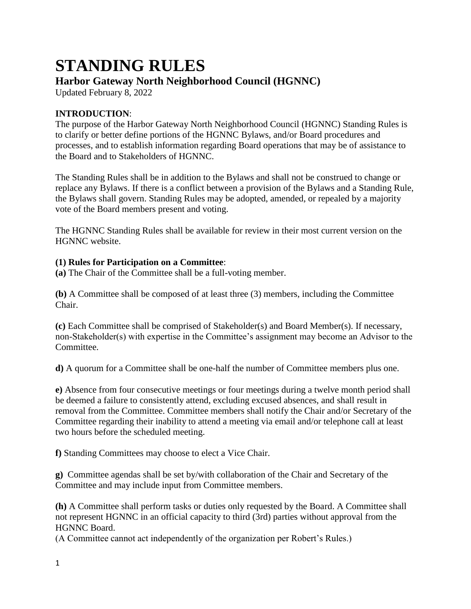# **STANDING RULES**

# **Harbor Gateway North Neighborhood Council (HGNNC)**

Updated February 8, 2022

# **INTRODUCTION**:

The purpose of the Harbor Gateway North Neighborhood Council (HGNNC) Standing Rules is to clarify or better define portions of the HGNNC Bylaws, and/or Board procedures and processes, and to establish information regarding Board operations that may be of assistance to the Board and to Stakeholders of HGNNC.

The Standing Rules shall be in addition to the Bylaws and shall not be construed to change or replace any Bylaws. If there is a conflict between a provision of the Bylaws and a Standing Rule, the Bylaws shall govern. Standing Rules may be adopted, amended, or repealed by a majority vote of the Board members present and voting.

The HGNNC Standing Rules shall be available for review in their most current version on the HGNNC website.

# **(1) Rules for Participation on a Committee**:

**(a)** The Chair of the Committee shall be a full-voting member.

**(b)** A Committee shall be composed of at least three (3) members, including the Committee Chair.

**(c)** Each Committee shall be comprised of Stakeholder(s) and Board Member(s). If necessary, non-Stakeholder(s) with expertise in the Committee's assignment may become an Advisor to the Committee.

**d)** A quorum for a Committee shall be one-half the number of Committee members plus one.

**e)** Absence from four consecutive meetings or four meetings during a twelve month period shall be deemed a failure to consistently attend, excluding excused absences, and shall result in removal from the Committee. Committee members shall notify the Chair and/or Secretary of the Committee regarding their inability to attend a meeting via email and/or telephone call at least two hours before the scheduled meeting.

**f)** Standing Committees may choose to elect a Vice Chair.

**g)** Committee agendas shall be set by/with collaboration of the Chair and Secretary of the Committee and may include input from Committee members.

**(h)** A Committee shall perform tasks or duties only requested by the Board. A Committee shall not represent HGNNC in an official capacity to third (3rd) parties without approval from the HGNNC Board.

(A Committee cannot act independently of the organization per Robert's Rules.)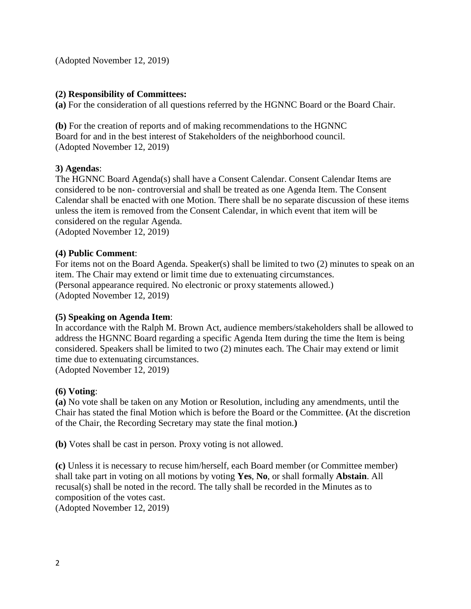(Adopted November 12, 2019)

## **(2) Responsibility of Committees:**

**(a)** For the consideration of all questions referred by the HGNNC Board or the Board Chair.

**(b)** For the creation of reports and of making recommendations to the HGNNC Board for and in the best interest of Stakeholders of the neighborhood council. (Adopted November 12, 2019)

## **3) Agendas**:

The HGNNC Board Agenda(s) shall have a Consent Calendar. Consent Calendar Items are considered to be non- controversial and shall be treated as one Agenda Item. The Consent Calendar shall be enacted with one Motion. There shall be no separate discussion of these items unless the item is removed from the Consent Calendar, in which event that item will be considered on the regular Agenda.

(Adopted November 12, 2019)

## **(4) Public Comment**:

For items not on the Board Agenda. Speaker(s) shall be limited to two (2) minutes to speak on an item. The Chair may extend or limit time due to extenuating circumstances. (Personal appearance required. No electronic or proxy statements allowed.) (Adopted November 12, 2019)

#### **(5) Speaking on Agenda Item**:

In accordance with the Ralph M. Brown Act, audience members/stakeholders shall be allowed to address the HGNNC Board regarding a specific Agenda Item during the time the Item is being considered. Speakers shall be limited to two (2) minutes each. The Chair may extend or limit time due to extenuating circumstances. (Adopted November 12, 2019)

#### **(6) Voting**:

**(a)** No vote shall be taken on any Motion or Resolution, including any amendments, until the Chair has stated the final Motion which is before the Board or the Committee. **(**At the discretion of the Chair, the Recording Secretary may state the final motion.**)** 

**(b)** Votes shall be cast in person. Proxy voting is not allowed.

**(c)** Unless it is necessary to recuse him/herself, each Board member (or Committee member) shall take part in voting on all motions by voting **Yes**, **No**, or shall formally **Abstain**. All recusal(s) shall be noted in the record. The tally shall be recorded in the Minutes as to composition of the votes cast.

(Adopted November 12, 2019)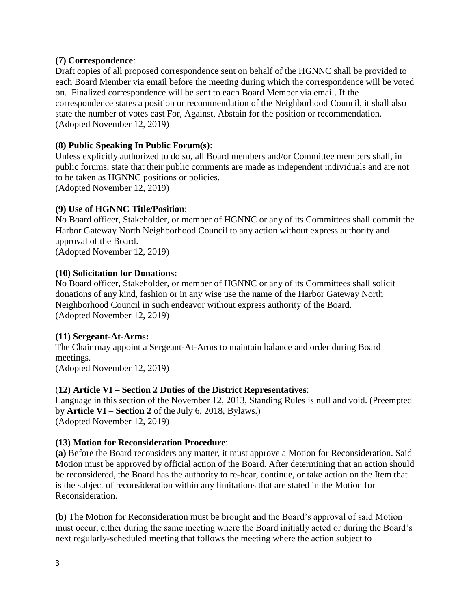## **(7) Correspondence**:

Draft copies of all proposed correspondence sent on behalf of the HGNNC shall be provided to each Board Member via email before the meeting during which the correspondence will be voted on. Finalized correspondence will be sent to each Board Member via email. If the correspondence states a position or recommendation of the Neighborhood Council, it shall also state the number of votes cast For, Against, Abstain for the position or recommendation. (Adopted November 12, 2019)

# **(8) Public Speaking In Public Forum(s)**:

Unless explicitly authorized to do so, all Board members and/or Committee members shall, in public forums, state that their public comments are made as independent individuals and are not to be taken as HGNNC positions or policies.

(Adopted November 12, 2019)

#### **(9) Use of HGNNC Title/Position**:

No Board officer, Stakeholder, or member of HGNNC or any of its Committees shall commit the Harbor Gateway North Neighborhood Council to any action without express authority and approval of the Board.

(Adopted November 12, 2019)

## **(10) Solicitation for Donations:**

No Board officer, Stakeholder, or member of HGNNC or any of its Committees shall solicit donations of any kind, fashion or in any wise use the name of the Harbor Gateway North Neighborhood Council in such endeavor without express authority of the Board. (Adopted November 12, 2019)

#### **(11) Sergeant-At-Arms:**

The Chair may appoint a Sergeant-At-Arms to maintain balance and order during Board meetings.

(Adopted November 12, 2019)

# (**12) Article VI – Section 2 Duties of the District Representatives**:

Language in this section of the November 12, 2013, Standing Rules is null and void. (Preempted by **Article VI** – **Section 2** of the July 6, 2018, Bylaws.) (Adopted November 12, 2019)

#### **(13) Motion for Reconsideration Procedure**:

**(a)** Before the Board reconsiders any matter, it must approve a Motion for Reconsideration. Said Motion must be approved by official action of the Board. After determining that an action should be reconsidered, the Board has the authority to re-hear, continue, or take action on the Item that is the subject of reconsideration within any limitations that are stated in the Motion for Reconsideration.

**(b)** The Motion for Reconsideration must be brought and the Board's approval of said Motion must occur, either during the same meeting where the Board initially acted or during the Board's next regularly-scheduled meeting that follows the meeting where the action subject to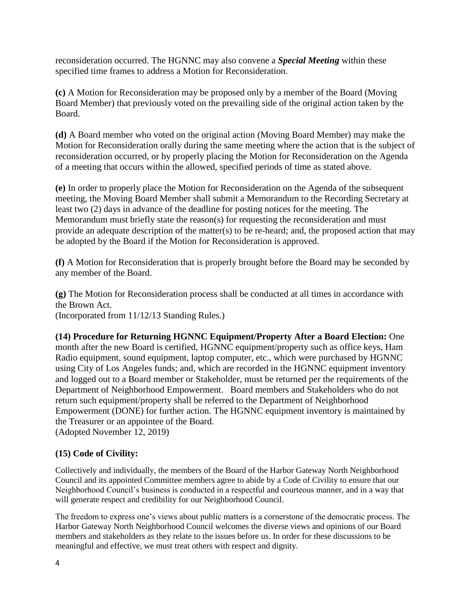reconsideration occurred. The HGNNC may also convene a *Special Meeting* within these specified time frames to address a Motion for Reconsideration.

**(c)** A Motion for Reconsideration may be proposed only by a member of the Board (Moving Board Member) that previously voted on the prevailing side of the original action taken by the Board.

**(d)** A Board member who voted on the original action (Moving Board Member) may make the Motion for Reconsideration orally during the same meeting where the action that is the subject of reconsideration occurred, or by properly placing the Motion for Reconsideration on the Agenda of a meeting that occurs within the allowed, specified periods of time as stated above.

**(e)** In order to properly place the Motion for Reconsideration on the Agenda of the subsequent meeting, the Moving Board Member shall submit a Memorandum to the Recording Secretary at least two (2) days in advance of the deadline for posting notices for the meeting. The Memorandum must briefly state the reason(s) for requesting the reconsideration and must provide an adequate description of the matter(s) to be re-heard; and, the proposed action that may be adopted by the Board if the Motion for Reconsideration is approved.

**(f)** A Motion for Reconsideration that is properly brought before the Board may be seconded by any member of the Board.

**(g)** The Motion for Reconsideration process shall be conducted at all times in accordance with the Brown Act. (Incorporated from 11/12/13 Standing Rules.)

**(14) Procedure for Returning HGNNC Equipment/Property After a Board Election:** One month after the new Board is certified, HGNNC equipment/property such as office keys, Ham Radio equipment, sound equipment, laptop computer, etc., which were purchased by HGNNC using City of Los Angeles funds; and, which are recorded in the HGNNC equipment inventory and logged out to a Board member or Stakeholder, must be returned per the requirements of the Department of Neighborhood Empowerment. Board members and Stakeholders who do not return such equipment/property shall be referred to the Department of Neighborhood Empowerment (DONE) for further action. The HGNNC equipment inventory is maintained by the Treasurer or an appointee of the Board. (Adopted November 12, 2019)

# **(15) Code of Civility:**

Collectively and individually, the members of the Board of the Harbor Gateway North Neighborhood Council and its appointed Committee members agree to abide by a Code of Civility to ensure that our Neighborhood Council's business is conducted in a respectful and courteous manner, and in a way that will generate respect and credibility for our Neighborhood Council.

The freedom to express one's views about public matters is a cornerstone of the democratic process. The Harbor Gateway North Neighborhood Council welcomes the diverse views and opinions of our Board members and stakeholders as they relate to the issues before us. In order for these discussions to be meaningful and effective, we must treat others with respect and dignity.